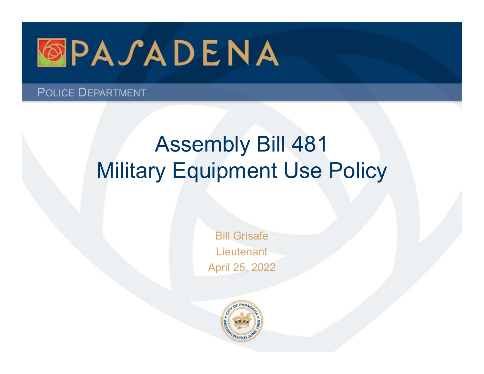

POLICE DEPARTMENT

# Assembly Bill 481 Military Equipment Use Policy

Bill Grisafe **Lieutenant** April 25, 2022

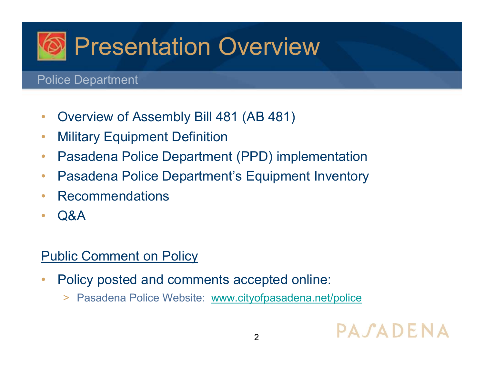

- Overview of Assembly Bill 481 (AB 481)
- Military Equipment Definition
- Pasadena Police Department (PPD) implementation
- Pasadena Police Department's Equipment Inventory
- Recommendations
- Q&A

#### **Public Comment on Policy**

- Policy posted and comments accepted online:
	- > Pasadena Police Website: www.cityofpasadena.net/police

## PASADENA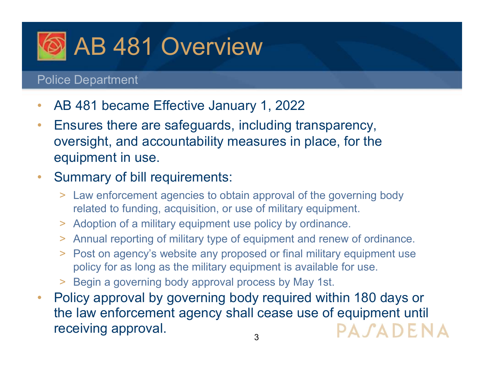

- AB 481 became Effective January 1, 2022
- Ensures there are safeguards, including transparency, oversight, and accountability measures in place, for the equipment in use.

#### • Summary of bill requirements:

- > Law enforcement agencies to obtain approval of the governing body related to funding, acquisition, or use of military equipment.
- > Adoption of a military equipment use policy by ordinance.
- > Annual reporting of military type of equipment and renew of ordinance.
- > Post on agency's website any proposed or final military equipment use policy for as long as the military equipment is available for use.
- > Begin a governing body approval process by May 1st.
- Policy approval by governing body required within 180 days or the law enforcement agency shall cease use of equipment until receiving approval. PASADENA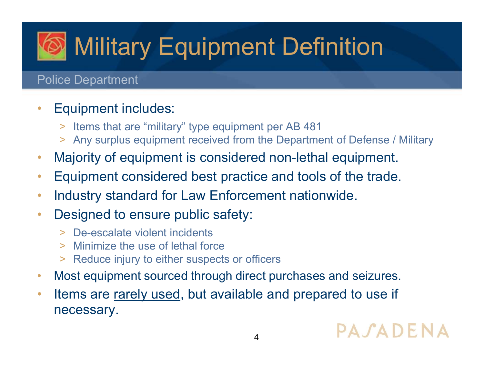# Military Equipment Definition

#### Police Department

#### • Equipment includes:

- > Items that are "military" type equipment per AB 481
- > Any surplus equipment received from the Department of Defense / Military
- Majority of equipment is considered non-lethal equipment.
- Equipment considered best practice and tools of the trade.
- Industry standard for Law Enforcement nationwide.
- Designed to ensure public safety:
	- > De-escalate violent incidents
	- > Minimize the use of lethal force
	- > Reduce injury to either suspects or officers
- Most equipment sourced through direct purchases and seizures.
- Items are rarely used, but available and prepared to use if necessary.

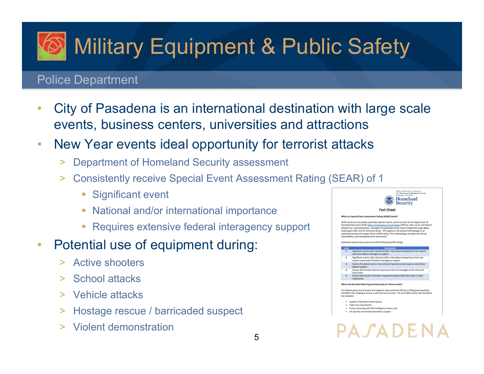# **Military Equipment & Public Safety**

#### Police Department

- City of Pasadena is an international destination with large scale events, business centers, universities and attractions
- New Year events ideal opportunity for terrorist attacks
	- > Department of Homeland Security assessment
	- > Consistently receive Special Event Assessment Rating (SEAR) of 1
		- **Significant event**
		- **National and/or international importance**
		- Requires extensive federal interagency support
- Potential use of equipment during:
	- > Active shooters
	- > School attacks
	- > Vehicle attacks
	- > Hostage rescue / barricaded suspect
	- > Violent demonstration

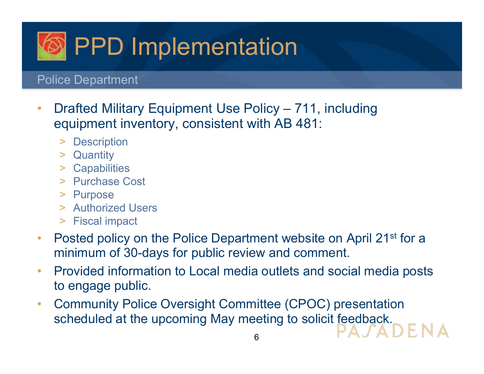

- **PPD Implementation**<br>
 Drafted Military Equipment Use Policy 711, including<br>
 Quipment inventory, consistent with AB 481:<br>
 Description equipment inventory, consistent with AB 481:
	- > Description
	- > Quantity
	- > Capabilities
	- > Purchase Cost
	- > Purpose
	- > Authorized Users
	- > Fiscal impact
- Posted policy on the Police Department website on April 21<sup>st</sup> for a minimum of 30-days for public review and comment.
- Provided information to Local media outlets and social media posts to engage public.
- Community Police Oversight Committee (CPOC) presentation scheduled at the upcoming May meeting to solicit feedback.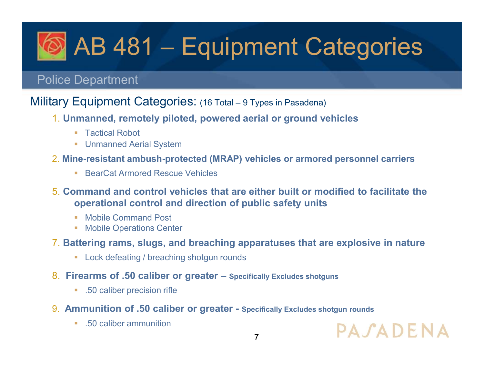# AB 481 – Equipment Categories **AB 481 – Equipment Categories**<br>
Police Department<br>
Military Equipment Categories: (16 Total – 9 Types in Pasadena)<br>
1. Unmanned, remotely piloted, powered aerial or ground vehicles<br>
Factical Robot **1. Unmanned, remotely piloted, powered aerial or ground vehicles**<br> **1. Unmanned, remotely piloted, powered aerial or ground vehicles**<br> **1. Unmanned, remotely piloted, powered aerial or ground vehicles**<br> **1. Unmanned Aeri 2. Mine-resistant ambush-protected (MRAP) vehicles or armored personnel carriers**<br> **2. Mine-resistant ambush-protected (MRAP) vehicles or armored personnel carriers**<br> **2. Mine-resistant ambush-protected (MRAP) vehicles or BEART - Equipment Categories**<br>
Police Department<br>
Military Equipment Categories: (16 Total – 9 Types in Pasadena)<br>
1. Unmanned, remotely piloted, powered aerial or ground vehicles<br>
• Tactical Robot<br>
• Unmanned Aerial Syst

#### Police Department

- - Tactical Robot
	- **Unmanned Aerial System**
- -
- 5. Command and control vehicles that are either built or modified to facilitate the operational control and direction of public safety units **2. Battering rams, slugs, and breaching apparatuses that are explosive in ature of scaling apparatuses of the Unmanned Areial System 2. Mine-resistant ambush-protected (MRAP) vehicles or armored personnel carriers<br>
2. Min** 1. Unmanned, remotely ploted, powered aerial or ground venicles<br>
• Tactical Robot<br>
• Unmanned Aerial System<br>
2. Mine-resistant ambush-protected (MRAP) vehicles or armored personnel carriers<br>
• BearCat Armored Rescue Vehicl **• Lactical Robot**<br>
• Unmanned Aerial System<br> **ne-resistant ambush-protected (MRAP) vehicles or armored persor**<br>
• BearCat Armored Rescue Vehicles<br> **brownmand and control vehicles that are either built or modified to<br>
<b>op** 2. Mine-resistant ambush-protected (MRAP) vehicles or armored personnel carriers<br>
9. Command and control vehicles that are either built or modified to facilitate the<br>
9. Command and control and direction of public safety • BearCat Armored Rescue Vehicles<br> **Internal and control vehicles that are either built or mc**<br> **operational control and direction of public safety units**<br>
• Mobile Command Post<br>
• Mobile Operations Center<br> **Ittering rams** 
	- **Mobile Command Post**
	- **Mobile Operations Center**
- - **Lock defeating / breaching shotgun rounds**
- -
- -

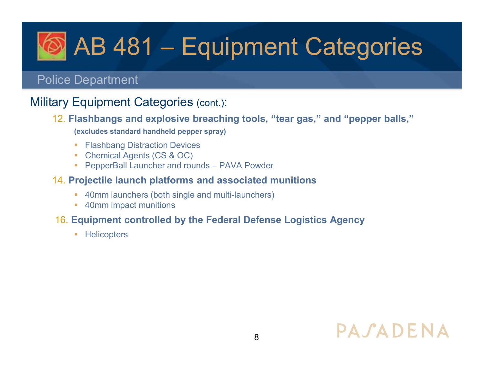# AB 481 – Equipment Categories **CO AB 481 – Equipment Canadian Provide Separtment**<br>Police Department<br>Military Equipment Categories (cont.):<br>12. Flashbangs and explosive breaching tools, "tear gas," an<br>excludes standard handheld pepper spray) **AB 481 — Equipment Categories**<br>
Police Department<br>
Military Equipment Categories (cont.):<br>
12. Flashbangs and explosive breaching tools, "tear gas," and "pepper balls,"<br>
(excludes standard handheld pepper spray)<br>
• Flashb

#### Police Department

- 12. Flashbangs and explosive breaching tools, "tear gas," and "pepper balls," (excludes standard handheld pepper spray) ice Department<br>
16. Equipment Categories (cont.):<br>
16. Elashbangs and explosive breaching tools, "tear gas," and "pepper balls,"<br>
(excludes standard handheld pepper spray)<br>
16. Encemical Agents (CS & OC)<br>
16. ProperBall La
	- **Flashbang Distraction Devices**
	- Chemical Agents (CS & OC)
	-

#### 14. Projectile launch platforms and associated munitions

- 40mm launchers (both single and multi-launchers)
- **40mm impact munitions**

**-** Helicopters

## PASADENA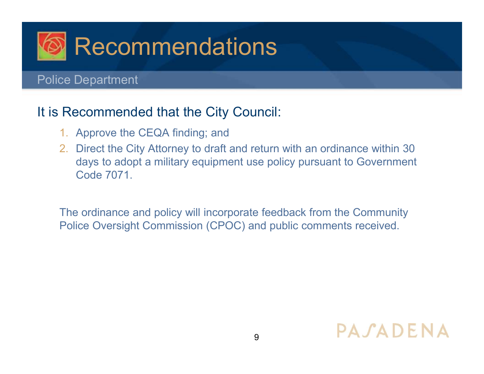

#### It is Recommended that the City Council:

- 1. Approve the CEQA finding; and
- 2. Direct the City Attorney to draft and return with an ordinance within 30 days to adopt a military equipment use policy pursuant to Government Code 7071.

The ordinance and policy will incorporate feedback from the Community Police Oversight Commission (CPOC) and public comments received.